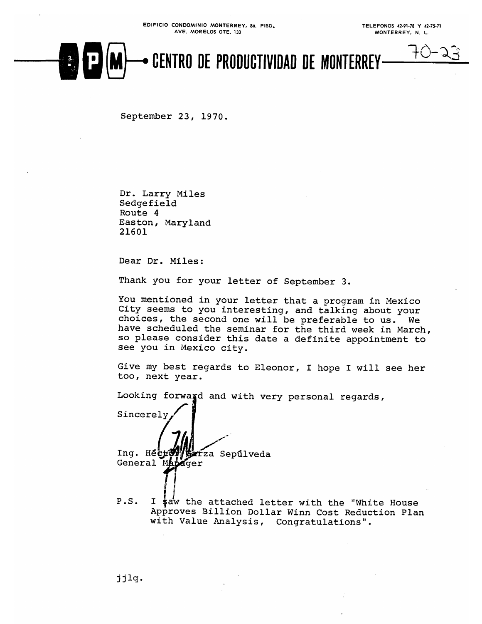## CENTRO DE PRODUCTIVIDAD DE MONTERREY-

September 23, 1970.

Dr. Larry Miles Sedgefield Route 4 Easton, Maryland 21601

Dear Dr. Miles:

Thank you for your letter of September 3.

You mentioned in your letter that a program in Mexico City seems to you interesting, and talking about your choices, the second one will be preferable to us. We have scheduled the seminar for the third week in March, so please consider this date a definite appointment to see you in Mexico city.

Give my best regards to Eleonor, I hope I will see her too, next year.

Looking forward and with very personal regards,

Sincerely Ing. Hecto ŕza Sepúlveda General Manager

 $P.S.$ I saw the attached letter with the "White House Approves Billion Dollar Winn Cost Reduction Plan with Value Analysis, Congratulations".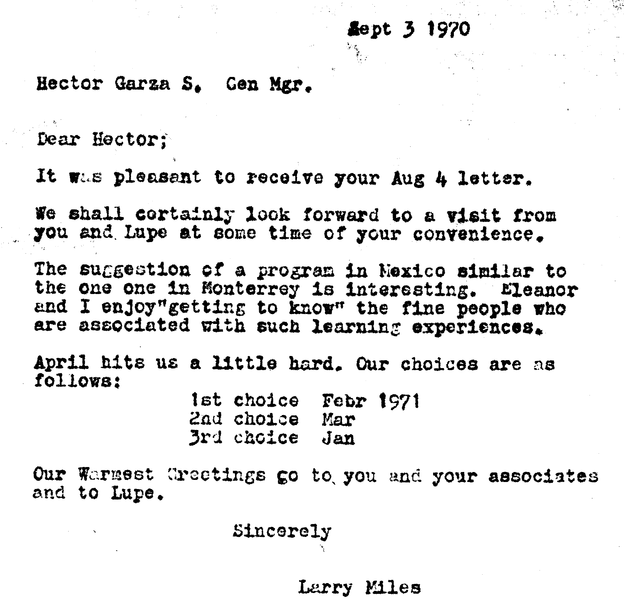Hector Garza S. Gen Mgr.

Dear Hector:

It was pleasent to receive your Aug 4 letter.

We shall cortainly look forward to a visit from you and Lupe at some time of your convenience.

The suggestion of a program in Nexico similar to the one one in Monterrey is interesting. Eleanor and I enjoy"getting to know" the fine people who are associated with such learning experiences.

April hits us a little hard. Our choices are as follows:

> 1st choice Febr 1971 2nd choice Mar 3rd choice Jan

Our Warmest Greetings go to you and your associates and to Lupe.

Sincerely

Larry Miles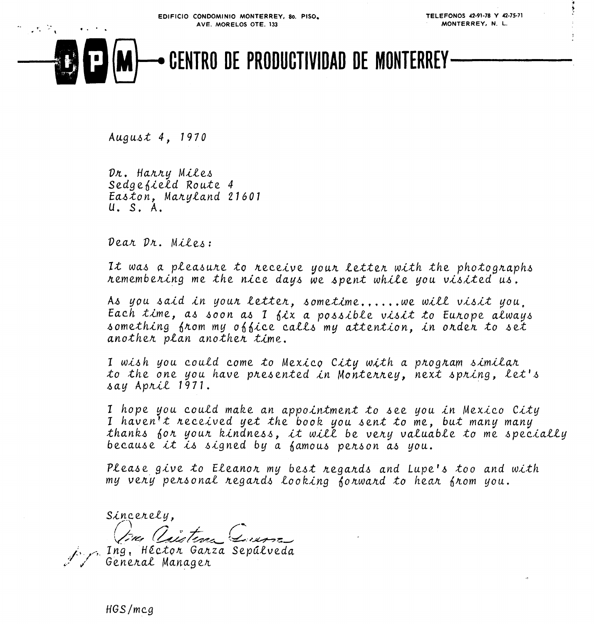

Ť

# CENTRO DE PRODUCTIVIDAD DE MONTERREY-

August  $4, 1970$ 

 $\mathcal{A} \subset \mathbb{R}^n$  .

 $\alpha$  ,  $\alpha$  ,  $\alpha$  ,  $\alpha$ 

Dr. Harry Miles Sedgefield Route 4 Easton, Maryland 21601 U. S. A.

Dear Dr. Miles:

It was a pleasure to receive your letter with the photographs remembering me the nice days we spent while you visited us.

As you said in your letter, sometime......we will visit you. Each time, as soon as I fix a possible visit to Europe always something from my office calls my attention, in order to set another plan another time.

I wish you could come to Mexico City with a program similar to the one you have presented in Monterrey, next spring, let's say April 1971.

I hope you could make an appointment to see you in Mexico City I haven't received yet the book you sent to me, but many many thanks for your kindness, it will be very valuable to me specially because it is signed by a famous person as you.

Please give to Eleanon my best negands and Lupe's too and with my very personal regards looking forward to hear from you.

Sincerely,

Ing, Héctor Garza Sepúlveda General Manager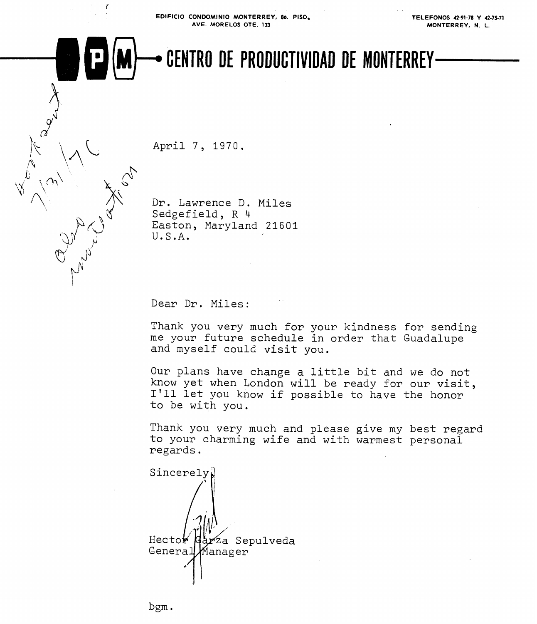**EDlFlClO CONDOMlNlO MONTERREY, 80. PISO. AVE. MORELOS OTE. 133** 

**TELEFONOS 42-91-78 Y 42-75-71 MONTERREY, N.** L.

### **(\$0** CENTRO DE PRODUCTIVIDAD DE MONTERREY

April 7, 1970.

 $\mathbf{r}$ 

Dr. Lawrence D. Miles Sedgefield, R 4 Easton, Maryland 21601 U.S.A.

Dear Dr. Miles:

Thank you very much for your kindness for sending me your future schedule in order that Guadalupe and myself could visit you.

Our plans have change a little bit and we do not know yet when London will be ready for our visit, I'll let you know if possible to have the honor to be with you.

Thank you very much and please give my best regard to your charming wife and with warmest personal regards.

Sincerely Hector <sup>7</sup>za Sepulveda General Manager

bgm .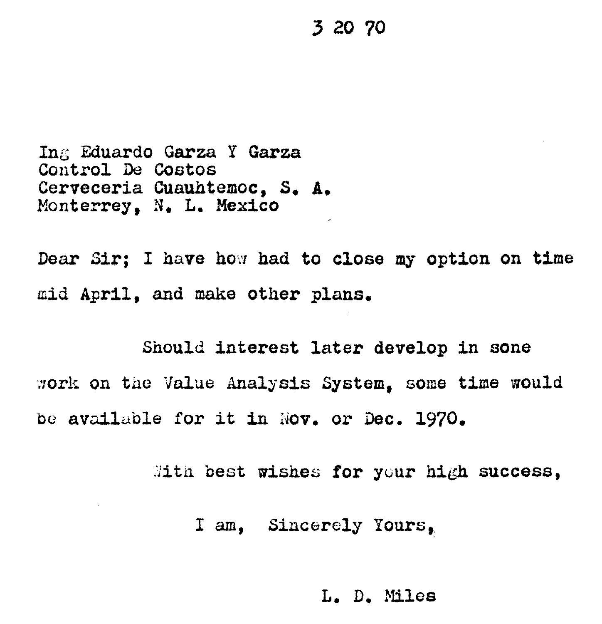#### 3 20 70

Ing Eduardo Garza Y Garza Control De Costos Cerveceria Cuauhtemoc. S. A. Monterrey, N. L. Mexico

Dear Sir; I have how had to close my option on time mid April, and make other plans.

Should interest later develop in sone work on the Value Analysis System. some time would be available for it in Nov. or Dec. 1970.

With best wishes for your high success,

I am, Sincerely Yours,

L. D. Miles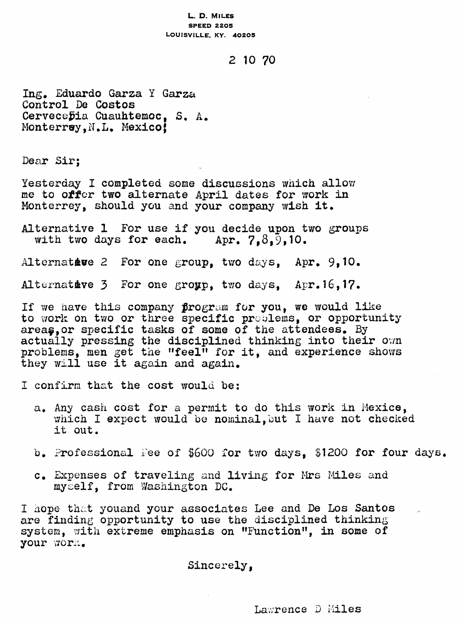#### L. D. MILES **SPEED 2205** LOUISVILLE, KY. 40205

#### 2 10 70

Ing. Eduardo Garza Y Garza Control De Costos Cervecebia Cuauhtemoc, S. A. Monterray. N.L. Mexico!

Dear Sir:

Yesterday I completed some discussions which allow me to offer two alternate April dates for work in Monterrey, should you and your company wish it.

Alternative 1 For use if you decide upon two groups with two days for each. Apr.  $7.8.9.10.$ 

Alternative 2 For one group, two days, Apr. 9,10.

Alternative 3 For one group, two days, Apr. 16, 17.

If we have this company program for you, we would like to work on two or three specific problems, or opportunity areas, or specific tasks of some of the attendees. By actually pressing the disciplined thinking into their own problems, men get the "feel" for it, and experience shows they will use it again and again.

I confirm that the cost would be:

- a. Any cash cost for a permit to do this work in Mexice. which I expect would be nominal, but I have not checked it out.
- b. Professional Fee of \$600 for two days, \$1200 for four days.
- c. Expenses of traveling and living for Mrs Miles and myself, from Washington DC.

I hope that youand your associates Lee and De Los Santos are finding opportunity to use the disciplined thinking system, with extreme emphasis on "Function", in some of your work.

Sincerely.

Lawrence D Miles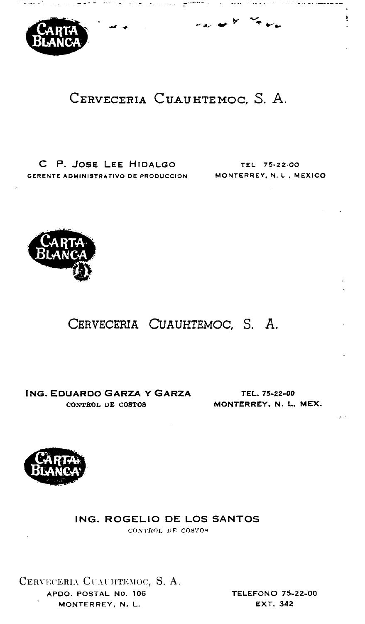

#### CERVECERIA CUAUHTEMOC, S. A.

were the companion and companion presentation of the companion of the

بالمواضح المعارضات

C P. JOSE LEE HIDALGO GERENTE ADMINISTRATIVO DE PRODUCCION MONTERREY, N. L., MEXICO

TEL 75-22.00

ŧ.



#### CERVECERIA CUAUHTEMOC, S. A.

**ING. EDUARDO GARZA Y GARZA** CONTROL DE COSTOS

TEL. 75-22-00 MONTERREY, N. L. MEX.



#### ING. ROGELIO DE LOS SANTOS

CONTROL DE COSTOS

CERVECERIA CUAUHTEMOC, S. A. APDO, POSTAL NO. 106 MONTERREY, N. L.

**TELEFONO 75-22-00 EXT. 342**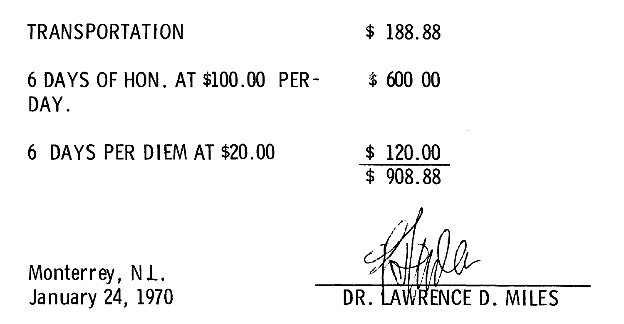6 DAYS OF HON. AT \$100.00 PER- **S** 600 00 DAY.

6 DAYS PER DIEM AT \$20.00 \$ 120.00

\$ 908.88

Monterrey, N.L. January 24, 1970